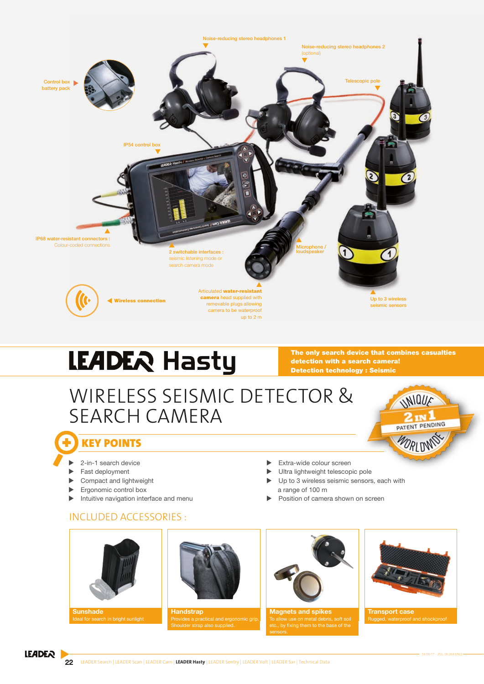

# LEADER Hasty

The only search device that combines casualties detection with a search camera! Detection technology : Seismic

# WIRELESS SEISMIC DETECTOR & SEARCH CAMERA



- 2-in-1 search device
- Fast deployment
- Compact and lightweight
- Ergonomic control box
- Intuitive navigation interface and menu

#### INCLUDED ACCESSORIES :



**Sunshade** 



**Handstrap** strap also supplied.



 $\blacktriangleright$  Extra-wide colour screen

a range of 100 m

Ultra lightweight telescopic pole  $\blacktriangleright$  Up to 3 wireless seismic sensors, each with

Position of camera shown on screen

Magnets and spikes w use on metal debris, soft soil . by fixing them to the base of the



UNIQUE

2 IN 1 PATENT PENDING

WORLDN

Transport case Rugged, waterproof and shockproof

#### **LEADER**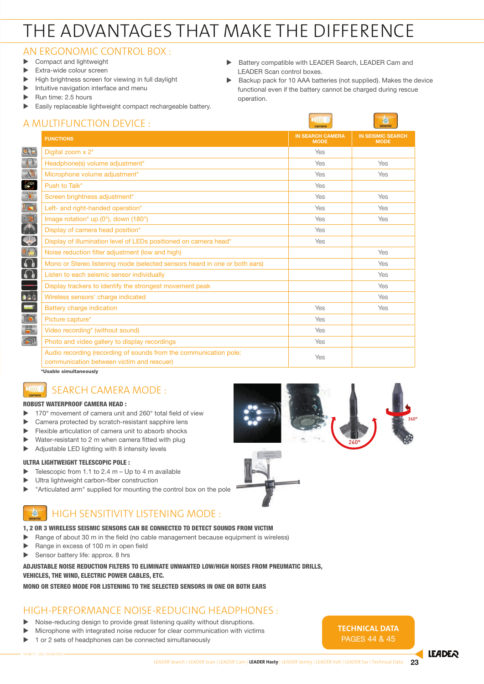# THE ADVANTAGES THAT MAKE THE DIFFERENCE

## AN ERGONOMIC CONTROL BOX :

- $\blacktriangleright$  Compact and lightweight
- Extra-wide colour screen
- High brightness screen for viewing in full daylight
- $\blacktriangleright$  Intuitive navigation interface and menu
- Run time: 2.5 hours

 $\blacktriangleright$  Easily replaceable lightweight compact rechargeable battery.

## **MULTIFUNCTION DEVICE**

▶ Battery compatible with LEADER Search, LEADER Cam and LEADER Scan control boxes.

*<u>vertice</u>* 

Backup pack for 10 AAA batteries (not supplied). Makes the device functional even if the battery cannot be charged during rescue operation.

|                                                          | A MULHFUNCHUN DEVICE :                                                                                         | camera                                 | seismic                                 |
|----------------------------------------------------------|----------------------------------------------------------------------------------------------------------------|----------------------------------------|-----------------------------------------|
|                                                          | <b>FUNCTIONS</b>                                                                                               | <b>IN SEARCH CAMERA</b><br><b>MODE</b> | <b>IN SEISMIC SEARCH</b><br><b>MODE</b> |
| $A \ni$                                                  | Digital zoom x 2 <sup>*</sup>                                                                                  | Yes                                    |                                         |
| $\mathbf{C}$                                             | Headphone(s) volume adjustment*                                                                                | Yes                                    | Yes                                     |
| الاب                                                     | Microphone volume adjustment*                                                                                  | Yes                                    | Yes                                     |
| 卷                                                        | Push to Talk*                                                                                                  | Yes                                    |                                         |
| $\frac{1}{2}$                                            | Screen brightness adjustment*                                                                                  | Yes                                    | Yes                                     |
| $\sqrt{2}$                                               | Left- and right-handed operation*                                                                              | Yes                                    | Yes                                     |
|                                                          | Image rotation* up $(0^{\circ})$ , down $(180^{\circ})$                                                        | Yes                                    | Yes                                     |
|                                                          | Display of camera head position*                                                                               | Yes                                    |                                         |
| $\ddot{\textbf{C}}$                                      | Display of illumination level of LEDs positioned on camera head*                                               | Yes                                    |                                         |
| $\mathbf{r}$                                             | Noise reduction filter adjustment (low and high)                                                               |                                        | Yes                                     |
| $\Omega$                                                 | Mono or Stereo listening mode (selected sensors heard in one or both ears)                                     |                                        | Yes                                     |
| $\Omega$                                                 | Listen to each seismic sensor individually                                                                     |                                        | Yes                                     |
|                                                          | Display trackers to identify the strongest movement peak                                                       |                                        | Yes                                     |
| à à à                                                    | Wireless sensors' charge indicated                                                                             |                                        | Yes                                     |
| $\blacksquare$                                           | <b>Battery charge indication</b>                                                                               | Yes                                    | Yes                                     |
| $\overline{\mathbb{C}}$                                  | Picture capture*                                                                                               | Yes                                    |                                         |
| $\begin{array}{c}\n\circ \\ \hline\n\vdots\n\end{array}$ | Video recording* (without sound)                                                                               | Yes                                    |                                         |
| 可                                                        | Photo and video gallery to display recordings                                                                  | Yes                                    |                                         |
|                                                          | Audio recording (recording of sounds from the communication pole:<br>communication between victim and rescuer) | Yes                                    |                                         |

\*Usable simultaneously

## SEARCH CAMERA MODE :

#### ROBUST WATERPROOF CAMERA HEAD :

- 170° movement of camera unit and 260° total field of view
- Camera protected by scratch-resistant sapphire lens
- Flexible articulation of camera unit to absorb shocks
- Water-resistant to 2 m when camera fitted with plug
- $\blacktriangleright$  Adjustable LED lighting with 8 intensity levels

#### ULTRA LIGHTWEIGHT TELESCOPIC POLE :

- $\blacktriangleright$  Telescopic from 1.1 to 2.4 m Up to 4 m available
- Ultra lightweight carbon-fiber construction
- $\blacktriangleright$  "Articulated arm" supplied for mounting the control box on the pole

## HIGH SENSITIVITY LISTENING MODE :

#### 1, 2 OR 3 WIRELESS SEISMIC SENSORS CAN BE CONNECTED TO DETECT SOUNDS FROM VICTIM

- $\blacktriangleright$  Range of about 30 m in the field (no cable management because equipment is wireless)
- Range in excess of 100 m in open field
- Sensor battery life: approx.  $8$  hrs

#### ADJUSTABLE NOISE REDUCTION FILTERS TO ELIMINATE UNWANTED LOW/HIGH NOISES FROM PNEUMATIC DRILLS, VEHICLES, THE WIND, ELECTRIC POWER CABLES, ETC.

#### MONO OR STEREO MODE FOR LISTENING TO THE SELECTED SENSORS IN ONE OR BOTH EARS

#### HIGH-PERFORMANCE NOISE-REDUCING HEADPHONES :

- Noise-reducing design to provide great listening quality without disruptions.
- Microphone with integrated noise reducer for clear communication with victims
- $\triangleright$  1 or 2 sets of headphones can be connected simultaneously





**TECHNICAL DATA** pages 44 & 45

**ILADER**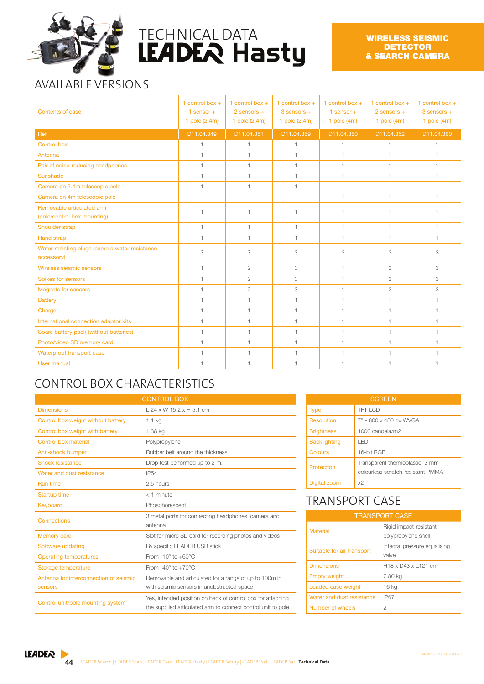

# TECHNICAL DATA<br>LEADER Hasty

# AVAILABLE VERSIONS

| Contents of case                                             | 1 control box $+$<br>1 sensor $+$<br>1 pole (2.4m) | 1 control box $+$<br>$2$ sensors $+$<br>1 pole $(2.4m)$ | 1 control box $+$<br>$3$ sensors $+$<br>1 pole (2.4m) | 1 control box $+$<br>1 sensor $+$<br>1 pole $(4m)$ | 1 control box $+$<br>$2$ sensors $+$<br>1 pole $(4m)$ | 1 control box $+$<br>$3$ sensors $+$<br>1 pole $(4m)$ |
|--------------------------------------------------------------|----------------------------------------------------|---------------------------------------------------------|-------------------------------------------------------|----------------------------------------------------|-------------------------------------------------------|-------------------------------------------------------|
| Ref                                                          | D11.04.349                                         | D11.04.351                                              | D11.04.359                                            | D11.04.350                                         | D11.04.352                                            | D11.04.360                                            |
| <b>Control box</b>                                           | $\overline{1}$                                     | $\overline{1}$                                          | 1                                                     | 1                                                  | 1                                                     | $\mathbf{1}$                                          |
| Antenna                                                      | 1                                                  | $\mathbf{1}$                                            | $\mathbf{1}$                                          | $\mathbf{1}$                                       | $\mathbf{1}$                                          | 1                                                     |
| Pair of noise-reducing headphones                            | 1                                                  | $\mathbf{1}$                                            | $\mathbf{1}$                                          | $\mathbf{1}$                                       | $\mathbf{1}$                                          | 1                                                     |
| Sunshade                                                     | 1                                                  | $\mathbf{1}$                                            | $\mathbf{1}$                                          | 1                                                  | $\mathbf{1}$                                          | 1                                                     |
| Camera on 2.4m telescopic pole                               | 1                                                  | $\mathbf{1}$                                            | $\overline{1}$                                        | $\sim$                                             | ÷.                                                    | ÷.                                                    |
| Camera on 4m telescopic pole                                 | ×.                                                 | ÷                                                       |                                                       | 1                                                  | $\mathbf{1}$                                          | $\mathbf{1}$                                          |
| Removable articulated arm<br>(pole/control box mounting)     | $\overline{1}$                                     | $\overline{1}$                                          |                                                       | 1                                                  |                                                       | $\overline{1}$                                        |
| Shoulder strap                                               | $\mathbf{1}$                                       | $\mathbf{1}$                                            | $\mathbf{1}$                                          | $\mathbf{1}$                                       | $\mathbf{1}$                                          | $\mathbf{1}$                                          |
| <b>Hand strap</b>                                            | 1                                                  | $\mathbf{1}$                                            | $\overline{1}$                                        | 1                                                  | $\mathbf{1}$                                          | 1                                                     |
| Water-resisting plugs (camera water-resistance<br>accessory) | 3                                                  | 3                                                       | 3                                                     | 3                                                  | 3                                                     | 3                                                     |
| Wireless seismic sensors                                     | 1                                                  | $\overline{c}$                                          | 3                                                     | $\mathbf{1}$                                       | $\overline{c}$                                        | 3                                                     |
| Spikes for sensors                                           | $\mathbf{1}$                                       | $\overline{c}$                                          | 3                                                     | $\mathbf{1}$                                       | $\mathbf{2}$                                          | 3                                                     |
| <b>Magnets for sensors</b>                                   | 1                                                  | $\overline{c}$                                          | 3                                                     | 1                                                  | $\overline{c}$                                        | 3                                                     |
| <b>Battery</b>                                               | 1                                                  | $\mathbf{1}$                                            | $\mathbf{1}$                                          | $\mathbf{1}$                                       | $\mathbf{1}$                                          | 1                                                     |
| Charger                                                      | $\mathbf{1}$                                       | $\mathbf{1}$                                            | $\mathbf{1}$                                          | $\mathbf{1}$                                       | $\mathbf{1}$                                          | $\overline{1}$                                        |
| International connection adaptor kits                        | $\overline{1}$                                     | $\mathbf{1}$                                            | 1                                                     | $\mathbf{1}$                                       | $\overline{1}$                                        | 1                                                     |
| Spare battery pack (without batteries)                       | $\mathbf{1}$                                       | $\mathbf{1}$                                            | 1                                                     | $\mathbf{1}$                                       | $\mathbf{1}$                                          | 1                                                     |
| Photo/video SD memory card                                   | $\mathbf{1}$                                       | $\mathbf{1}$                                            | 1                                                     | $\mathbf{1}$                                       | $\mathbf{1}$                                          | $\mathbf{1}$                                          |
| Waterproof transport case                                    | $\mathbf{1}$                                       | $\mathbf{1}$                                            | 1                                                     | $\mathbf{1}$                                       | $\mathbf{1}$                                          | 1                                                     |
| User manual                                                  | $\overline{1}$                                     | $\overline{1}$                                          |                                                       | 1                                                  |                                                       | 1                                                     |

# CONTROL BOX CHARACTERISTICS

| <b>CONTROL BOX</b>                                |                                                                                                                             |  |
|---------------------------------------------------|-----------------------------------------------------------------------------------------------------------------------------|--|
| <b>Dimensions</b>                                 | $L$ 24 x W 15.2 x H 5.1 cm                                                                                                  |  |
| Control box weight without battery                | $1.1$ kg                                                                                                                    |  |
| Control box weight with battery                   | 1.38 kg                                                                                                                     |  |
| Control box material                              | Polypropylene                                                                                                               |  |
| Anti-shock bumper                                 | Rubber belt around the thickness                                                                                            |  |
| Shock resistance                                  | Drop test performed up to 2 m.                                                                                              |  |
| Water and dust resistance                         | <b>IP54</b>                                                                                                                 |  |
| <b>Run time</b>                                   | 2.5 hours                                                                                                                   |  |
| <b>Startup time</b>                               | $<$ 1 minute                                                                                                                |  |
| Keyboard                                          | Phosphorescent                                                                                                              |  |
| Connections                                       | 3 metal ports for connecting headphones, camera and<br>antenna                                                              |  |
| Memory card                                       | Slot for micro SD card for recording photos and videos                                                                      |  |
| Software updating                                 | By specific LEADER USB stick                                                                                                |  |
| <b>Operating temperatures</b>                     | From $-10^\circ$ to $+60^\circ$ C                                                                                           |  |
| Storage temperature                               | From $-40^\circ$ to $+70^\circ$ C                                                                                           |  |
| Antenna for interconnection of seismic<br>sensors | Removable and articulated for a range of up to 100m in<br>with seismic sensors in unobstructed space                        |  |
| Control unit/pole mounting system                 | Yes, intended position on back of control box for attaching<br>the supplied articulated arm to connect control unit to pole |  |

| <b>SCREEN</b>       |                                                                      |  |
|---------------------|----------------------------------------------------------------------|--|
| <b>Type</b>         | TFT LCD                                                              |  |
| Resolution          | 7" - 800 x 480 px WVGA                                               |  |
| <b>Brightness</b>   | 1000 candela/m2                                                      |  |
| <b>Backlighting</b> | I FD                                                                 |  |
| Colours             | 16-bit RGB                                                           |  |
| Protection          | Transparent thermoplastic: 3 mm<br>colourless scratch-resistant PMMA |  |
| Digital zoom        | x2                                                                   |  |

# TRANSPORT CASE

| <b>TRANSPORT CASE</b>      |                                                         |  |
|----------------------------|---------------------------------------------------------|--|
| <b>Material</b>            | Rigid impact-resistant<br>polypropylene shell           |  |
| Suitable for air transport | Integral pressure equalising<br>valve                   |  |
| <b>Dimensions</b>          | H <sub>18</sub> x D <sub>43</sub> x L <sub>121</sub> cm |  |
| <b>Empty weight</b>        | 7.80 kg                                                 |  |
| Loaded case weight         | 16 kg                                                   |  |
| Water and dust resistance  | <b>IP67</b>                                             |  |
| Number of wheels           | 2                                                       |  |

**LEADER**